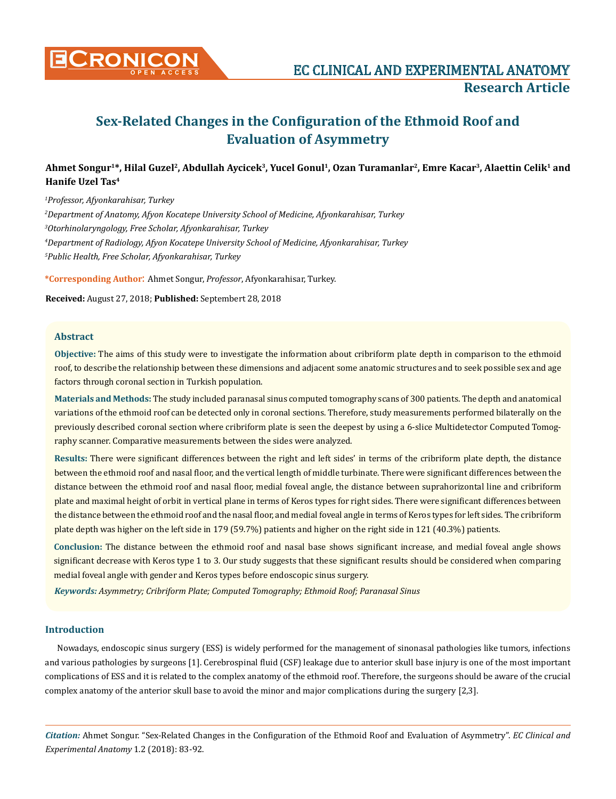

# **Sex-Related Changes in the Configuration of the Ethmoid Roof and Evaluation of Asymmetry**

## **Ahmet Songur<sup>1</sup>\*, Hilal Guzel<sup>2</sup>, Abdullah Aycicek<sup>3</sup>, Yucel Gonul<sup>1</sup>, Ozan Turamanlar<sup>2</sup>, Emre Kacar<sup>3</sup>, Alaettin Celik1 and Hanife Uzel Tas<sup>4</sup>**

 *Professor, Afyonkarahisar, Turkey Department of Anatomy, Afyon Kocatepe University School of Medicine, Afyonkarahisar, Turkey Otorhinolaryngology, Free Scholar, Afyonkarahisar, Turkey Department of Radiology, Afyon Kocatepe University School of Medicine, Afyonkarahisar, Turkey Public Health, Free Scholar, Afyonkarahisar, Turkey*

**\*Corresponding Author**: Ahmet Songur, *Professor*, Afyonkarahisar, Turkey.

**Received:** August 27, 2018; **Published:** Septembert 28, 2018

#### **Abstract**

**Objective:** The aims of this study were to investigate the information about cribriform plate depth in comparison to the ethmoid roof, to describe the relationship between these dimensions and adjacent some anatomic structures and to seek possible sex and age factors through coronal section in Turkish population.

**Materials and Methods:** The study included paranasal sinus computed tomography scans of 300 patients. The depth and anatomical variations of the ethmoid roof can be detected only in coronal sections. Therefore, study measurements performed bilaterally on the previously described coronal section where cribriform plate is seen the deepest by using a 6-slice Multidetector Computed Tomography scanner. Comparative measurements between the sides were analyzed.

**Results:** There were significant differences between the right and left sides' in terms of the cribriform plate depth, the distance between the ethmoid roof and nasal floor, and the vertical length of middle turbinate. There were significant differences between the distance between the ethmoid roof and nasal floor, medial foveal angle, the distance between suprahorizontal line and cribriform plate and maximal height of orbit in vertical plane in terms of Keros types for right sides. There were significant differences between the distance between the ethmoid roof and the nasal floor, and medial foveal angle in terms of Keros types for left sides. The cribriform plate depth was higher on the left side in 179 (59.7%) patients and higher on the right side in 121 (40.3%) patients.

**Conclusion:** The distance between the ethmoid roof and nasal base shows significant increase, and medial foveal angle shows significant decrease with Keros type 1 to 3. Our study suggests that these significant results should be considered when comparing medial foveal angle with gender and Keros types before endoscopic sinus surgery.

*Keywords: Asymmetry; Cribriform Plate; Computed Tomography; Ethmoid Roof; Paranasal Sinus*

## **Introduction**

Nowadays, endoscopic sinus surgery (ESS) is widely performed for the management of sinonasal pathologies like tumors, infections and various pathologies by surgeons [1]. Cerebrospinal fluid (CSF) leakage due to anterior skull base injury is one of the most important complications of ESS and it is related to the complex anatomy of the ethmoid roof. Therefore, the surgeons should be aware of the crucial complex anatomy of the anterior skull base to avoid the minor and major complications during the surgery [2,3].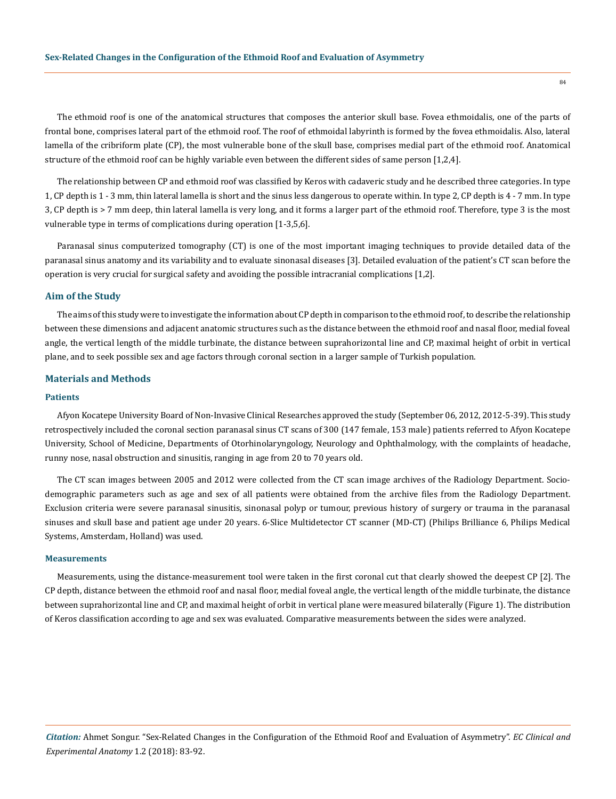The ethmoid roof is one of the anatomical structures that composes the anterior skull base. Fovea ethmoidalis, one of the parts of frontal bone, comprises lateral part of the ethmoid roof. The roof of ethmoidal labyrinth is formed by the fovea ethmoidalis. Also, lateral lamella of the cribriform plate (CP), the most vulnerable bone of the skull base, comprises medial part of the ethmoid roof. Anatomical structure of the ethmoid roof can be highly variable even between the different sides of same person [1,2,4].

The relationship between CP and ethmoid roof was classified by Keros with cadaveric study and he described three categories. In type 1, CP depth is 1 - 3 mm, thin lateral lamella is short and the sinus less dangerous to operate within. In type 2, CP depth is 4 - 7 mm. In type 3, CP depth is > 7 mm deep, thin lateral lamella is very long, and it forms a larger part of the ethmoid roof. Therefore, type 3 is the most vulnerable type in terms of complications during operation [1-3,5,6].

Paranasal sinus computerized tomography (CT) is one of the most important imaging techniques to provide detailed data of the paranasal sinus anatomy and its variability and to evaluate sinonasal diseases [3]. Detailed evaluation of the patient's CT scan before the operation is very crucial for surgical safety and avoiding the possible intracranial complications [1,2].

#### **Aim of the Study**

The aims of this study were to investigate the information about CP depth in comparison to the ethmoid roof, to describe the relationship between these dimensions and adjacent anatomic structures such as the distance between the ethmoid roof and nasal floor, medial foveal angle, the vertical length of the middle turbinate, the distance between suprahorizontal line and CP, maximal height of orbit in vertical plane, and to seek possible sex and age factors through coronal section in a larger sample of Turkish population.

#### **Materials and Methods**

#### **Patients**

Afyon Kocatepe University Board of Non-Invasive Clinical Researches approved the study (September 06, 2012, 2012-5-39). This study retrospectively included the coronal section paranasal sinus CT scans of 300 (147 female, 153 male) patients referred to Afyon Kocatepe University, School of Medicine, Departments of Otorhinolaryngology, Neurology and Ophthalmology, with the complaints of headache, runny nose, nasal obstruction and sinusitis, ranging in age from 20 to 70 years old.

The CT scan images between 2005 and 2012 were collected from the CT scan image archives of the Radiology Department. Sociodemographic parameters such as age and sex of all patients were obtained from the archive files from the Radiology Department. Exclusion criteria were severe paranasal sinusitis, sinonasal polyp or tumour, previous history of surgery or trauma in the paranasal sinuses and skull base and patient age under 20 years. 6-Slice Multidetector CT scanner (MD-CT) (Philips Brilliance 6, Philips Medical Systems, Amsterdam, Holland) was used.

#### **Measurements**

Measurements, using the distance-measurement tool were taken in the first coronal cut that clearly showed the deepest CP [2]. The CP depth, distance between the ethmoid roof and nasal floor, medial foveal angle, the vertical length of the middle turbinate, the distance between suprahorizontal line and CP, and maximal height of orbit in vertical plane were measured bilaterally (Figure 1). The distribution of Keros classification according to age and sex was evaluated. Comparative measurements between the sides were analyzed.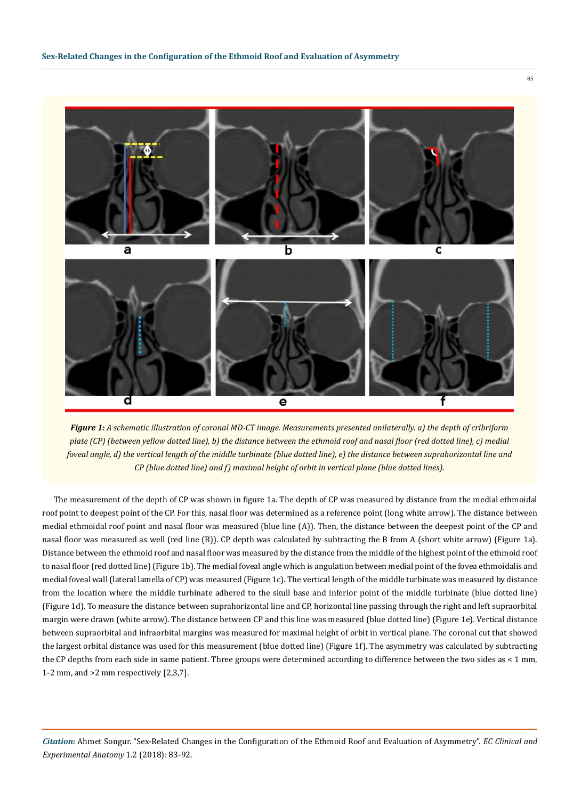

*Figure 1: A schematic illustration of coronal MD-CT image. Measurements presented unilaterally. a) the depth of cribriform plate (CP) (between yellow dotted line), b) the distance between the ethmoid roof and nasal floor (red dotted line), c) medial foveal angle, d) the vertical length of the middle turbinate (blue dotted line), e) the distance between suprahorizontal line and CP (blue dotted line) and f) maximal height of orbit in vertical plane (blue dotted lines).*

The measurement of the depth of CP was shown in figure 1a. The depth of CP was measured by distance from the medial ethmoidal roof point to deepest point of the CP. For this, nasal floor was determined as a reference point (long white arrow). The distance between medial ethmoidal roof point and nasal floor was measured (blue line (A)). Then, the distance between the deepest point of the CP and nasal floor was measured as well (red line (B)). CP depth was calculated by subtracting the B from A (short white arrow) (Figure 1a). Distance between the ethmoid roof and nasal floor was measured by the distance from the middle of the highest point of the ethmoid roof to nasal floor (red dotted line) (Figure 1b). The medial foveal angle which is angulation between medial point of the fovea ethmoidalis and medial foveal wall (lateral lamella of CP) was measured (Figure 1c). The vertical length of the middle turbinate was measured by distance from the location where the middle turbinate adhered to the skull base and inferior point of the middle turbinate (blue dotted line) (Figure 1d). To measure the distance between suprahorizontal line and CP, horizontal line passing through the right and left supraorbital margin were drawn (white arrow). The distance between CP and this line was measured (blue dotted line) (Figure 1e). Vertical distance between supraorbital and infraorbital margins was measured for maximal height of orbit in vertical plane. The coronal cut that showed the largest orbital distance was used for this measurement (blue dotted line) (Figure 1f). The asymmetry was calculated by subtracting the CP depths from each side in same patient. Three groups were determined according to difference between the two sides as < 1 mm, 1-2 mm, and >2 mm respectively [2,3,7].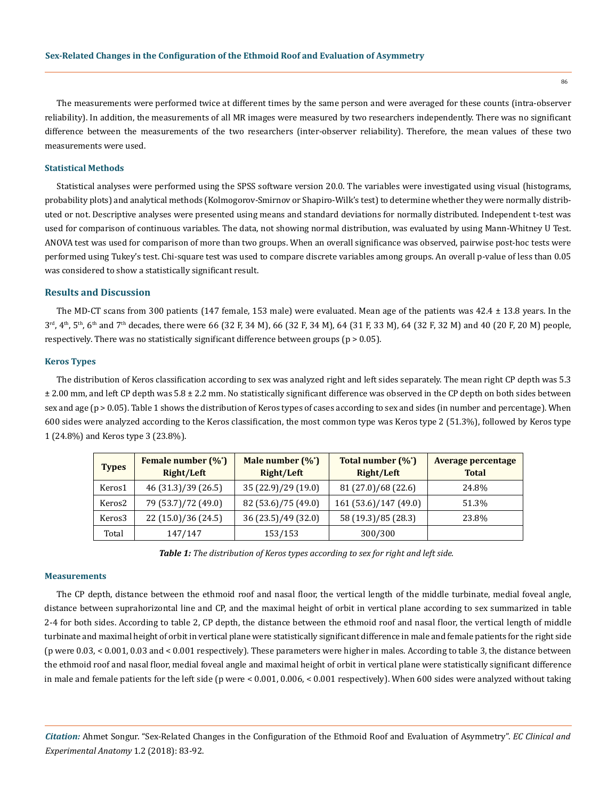The measurements were performed twice at different times by the same person and were averaged for these counts (intra-observer reliability). In addition, the measurements of all MR images were measured by two researchers independently. There was no significant difference between the measurements of the two researchers (inter-observer reliability). Therefore, the mean values of these two measurements were used.

## **Statistical Methods**

Statistical analyses were performed using the SPSS software version 20.0. The variables were investigated using visual (histograms, probability plots) and analytical methods (Kolmogorov-Smirnov or Shapiro-Wilk's test) to determine whether they were normally distributed or not. Descriptive analyses were presented using means and standard deviations for normally distributed. Independent t-test was used for comparison of continuous variables. The data, not showing normal distribution, was evaluated by using Mann-Whitney U Test. ANOVA test was used for comparison of more than two groups. When an overall significance was observed, pairwise post-hoc tests were performed using Tukey's test. Chi-square test was used to compare discrete variables among groups. An overall p-value of less than 0.05 was considered to show a statistically significant result.

## **Results and Discussion**

The MD-CT scans from 300 patients (147 female, 153 male) were evaluated. Mean age of the patients was 42.4 ± 13.8 years. In the  $3<sup>rd</sup>$ , 4<sup>th</sup>, 5<sup>th</sup>, 6<sup>th</sup> and 7<sup>th</sup> decades, there were 66 (32 F, 34 M), 66 (32 F, 34 M), 64 (31 F, 33 M), 64 (32 F, 32 M) and 40 (20 F, 20 M) people, respectively. There was no statistically significant difference between groups (p > 0.05).

#### **Keros Types**

The distribution of Keros classification according to sex was analyzed right and left sides separately. The mean right CP depth was 5.3  $\pm$  2.00 mm, and left CP depth was  $5.8 \pm 2.2$  mm. No statistically significant difference was observed in the CP depth on both sides between sex and age (p > 0.05). Table 1 shows the distribution of Keros types of cases according to sex and sides (in number and percentage). When 600 sides were analyzed according to the Keros classification, the most common type was Keros type 2 (51.3%), followed by Keros type 1 (24.8%) and Keros type 3 (23.8%).

| <b>Types</b>       | Female number $(\%^{\dagger})$<br>Right/Left | Male number $(\%^{\dagger})$<br>Right/Left | Total number (%*)<br>Right/Left | Average percentage<br><b>Total</b> |  |
|--------------------|----------------------------------------------|--------------------------------------------|---------------------------------|------------------------------------|--|
| Keros1             | 46 (31.3)/39 (26.5)                          | 35 (22.9)/29 (19.0)                        | 81 (27.0)/68 (22.6)             | 24.8%                              |  |
| Keros <sub>2</sub> | 79 (53.7)/72 (49.0)                          | 82 (53.6)/75 (49.0)                        | 161 (53.6)/147 (49.0)           | 51.3%                              |  |
| Keros3             | 22 (15.0)/36 (24.5)                          | 36 (23.5)/49 (32.0)                        | 58 (19.3)/85 (28.3)             | 23.8%                              |  |
| Total              | 147/147                                      | 153/153                                    | 300/300                         |                                    |  |

*Table 1: The distribution of Keros types according to sex for right and left side.*

#### **Measurements**

The CP depth, distance between the ethmoid roof and nasal floor, the vertical length of the middle turbinate, medial foveal angle, distance between suprahorizontal line and CP, and the maximal height of orbit in vertical plane according to sex summarized in table 2-4 for both sides. According to table 2, CP depth, the distance between the ethmoid roof and nasal floor, the vertical length of middle turbinate and maximal height of orbit in vertical plane were statistically significant difference in male and female patients for the right side (p were 0.03, < 0.001, 0.03 and < 0.001 respectively). These parameters were higher in males. According to table 3, the distance between the ethmoid roof and nasal floor, medial foveal angle and maximal height of orbit in vertical plane were statistically significant difference in male and female patients for the left side (p were < 0.001, 0.006, < 0.001 respectively). When 600 sides were analyzed without taking

*Citation:* Ahmet Songur. "Sex-Related Changes in the Configuration of the Ethmoid Roof and Evaluation of Asymmetry". *EC Clinical and Experimental Anatomy* 1.2 (2018): 83-92.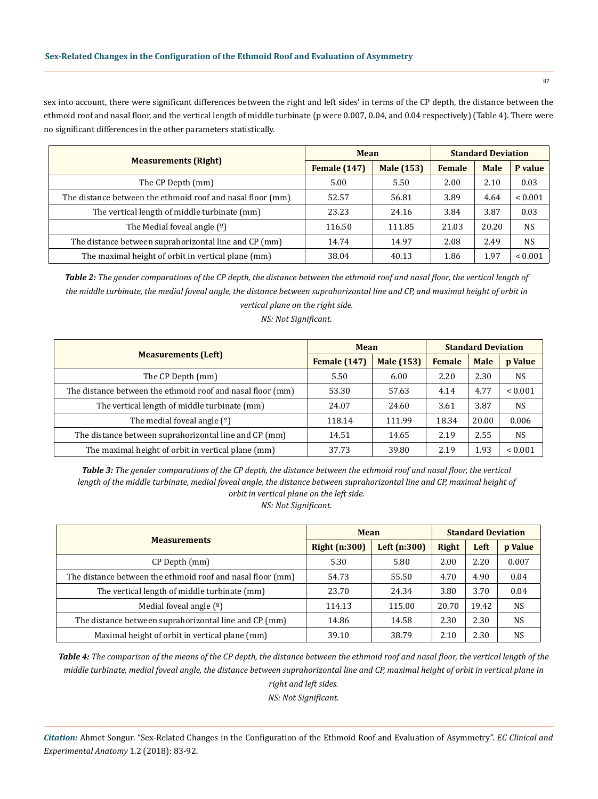sex into account, there were significant differences between the right and left sides' in terms of the CP depth, the distance between the ethmoid roof and nasal floor, and the vertical length of middle turbinate (p were 0.007, 0.04, and 0.04 respectively) (Table 4). There were no significant differences in the other parameters statistically.

|                                                            | <b>Mean</b>         |                   | <b>Standard Deviation</b> |             |              |
|------------------------------------------------------------|---------------------|-------------------|---------------------------|-------------|--------------|
| <b>Measurements (Right)</b>                                | <b>Female</b> (147) | <b>Male</b> (153) | <b>Female</b>             | <b>Male</b> | P value      |
| The CP Depth (mm)                                          | 5.00                | 5.50              | 2.00                      | 2.10        | 0.03         |
| The distance between the ethmoid roof and nasal floor (mm) | 52.57               | 56.81             | 3.89                      | 4.64        | ${}_{0.001}$ |
| The vertical length of middle turbinate (mm)               | 23.23               | 24.16             | 3.84                      | 3.87        | 0.03         |
| The Medial foveal angle $(9)$                              | 116.50              | 111.85            | 21.03                     | 20.20       | <b>NS</b>    |
| The distance between suprahorizontal line and CP (mm)      | 14.74               | 14.97             | 2.08                      | 2.49        | <b>NS</b>    |
| The maximal height of orbit in vertical plane (mm)         | 38.04               | 40.13             | 1.86                      | 1.97        | ${}< 0.001$  |

*Table 2: The gender comparations of the CP depth, the distance between the ethmoid roof and nasal floor, the vertical length of the middle turbinate, the medial foveal angle, the distance between suprahorizontal line and CP, and maximal height of orbit in vertical plane on the right side.*

*NS: Not Significant.*

|                                                            | <b>Mean</b>         |                   | <b>Standard Deviation</b> |             |              |
|------------------------------------------------------------|---------------------|-------------------|---------------------------|-------------|--------------|
| <b>Measurements (Left)</b>                                 | <b>Female</b> (147) | <b>Male</b> (153) | <b>Female</b>             | <b>Male</b> | p Value      |
| The CP Depth (mm)                                          | 5.50                | 6.00              | 2.20                      | 2.30        | <b>NS</b>    |
| The distance between the ethmoid roof and nasal floor (mm) | 53.30               | 57.63             | 4.14                      | 4.77        | ${}_{0.001}$ |
| The vertical length of middle turbinate (mm)               | 24.07               | 24.60             | 3.61                      | 3.87        | <b>NS</b>    |
| The medial foveal angle $(9)$                              | 118.14              | 111.99            | 18.34                     | 20.00       | 0.006        |
| The distance between suprahorizontal line and CP (mm)      | 14.51               | 14.65             | 2.19                      | 2.55        | <b>NS</b>    |
| The maximal height of orbit in vertical plane (mm)         | 37.73               | 39.80             | 2.19                      | 1.93        | ${}_{0.001}$ |

*Table 3: The gender comparations of the CP depth, the distance between the ethmoid roof and nasal floor, the vertical length of the middle turbinate, medial foveal angle, the distance between suprahorizontal line and CP, maximal height of orbit in vertical plane on the left side. NS: Not Significant.*

|                                                            | <b>Mean</b>          |              | <b>Standard Deviation</b> |       |                |
|------------------------------------------------------------|----------------------|--------------|---------------------------|-------|----------------|
| <b>Measurements</b>                                        | <b>Right (n:300)</b> | Left (n:300) | Right                     | Left  | <b>p</b> Value |
| CP Depth (mm)                                              | 5.30                 | 5.80         | 2.00                      | 2.20  | 0.007          |
| The distance between the ethmoid roof and nasal floor (mm) | 54.73                | 55.50        | 4.70                      | 4.90  | 0.04           |
| The vertical length of middle turbinate (mm)               | 23.70                | 24.34        | 3.80                      | 3.70  | 0.04           |
| Medial foveal angle $(9)$                                  | 114.13               | 115.00       | 20.70                     | 19.42 | <b>NS</b>      |
| The distance between suprahorizontal line and CP (mm)      | 14.86                | 14.58        | 2.30                      | 2.30  | <b>NS</b>      |
| Maximal height of orbit in vertical plane (mm)             | 39.10                | 38.79        | 2.10                      | 2.30  | <b>NS</b>      |

*Table 4: The comparison of the means of the CP depth, the distance between the ethmoid roof and nasal floor, the vertical length of the middle turbinate, medial foveal angle, the distance between suprahorizontal line and CP, maximal height of orbit in vertical plane in* 

*right and left sides.*

*NS: Not Significant.*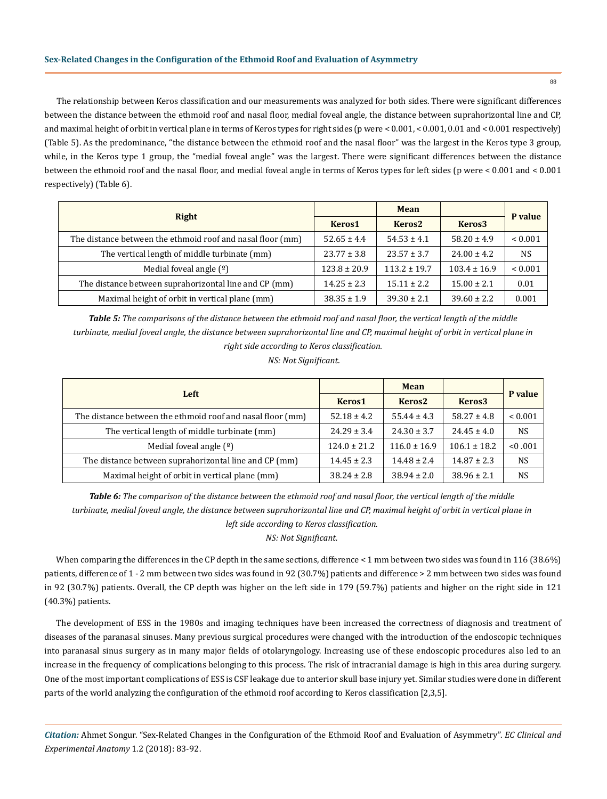The relationship between Keros classification and our measurements was analyzed for both sides. There were significant differences between the distance between the ethmoid roof and nasal floor, medial foveal angle, the distance between suprahorizontal line and CP, and maximal height of orbit in vertical plane in terms of Keros types for right sides (p were < 0.001, < 0.001, 0.01 and < 0.001 respectively) (Table 5). As the predominance, "the distance between the ethmoid roof and the nasal floor" was the largest in the Keros type 3 group, while, in the Keros type 1 group, the "medial foveal angle" was the largest. There were significant differences between the distance between the ethmoid roof and the nasal floor, and medial foveal angle in terms of Keros types for left sides (p were < 0.001 and < 0.001 respectively) (Table 6).

|                                                            |                  | <b>Mean</b>        |                    | P value     |  |
|------------------------------------------------------------|------------------|--------------------|--------------------|-------------|--|
| Right                                                      | Keros1           | Keros <sub>2</sub> | Keros <sub>3</sub> |             |  |
| The distance between the ethmoid roof and nasal floor (mm) | $52.65 \pm 4.4$  | $54.53 \pm 4.1$    | $58.20 \pm 4.9$    | ${}< 0.001$ |  |
| The vertical length of middle turbinate (mm)               | $23.77 \pm 3.8$  | $23.57 \pm 3.7$    | $24.00 \pm 4.2$    | <b>NS</b>   |  |
| Medial foveal angle $(9)$                                  | $123.8 \pm 20.9$ | $113.2 + 19.7$     | $103.4 \pm 16.9$   | ${}< 0.001$ |  |
| The distance between suprahorizontal line and CP (mm)      | $14.25 \pm 2.3$  | $15.11 + 2.2$      | $15.00 \pm 2.1$    | 0.01        |  |
| Maximal height of orbit in vertical plane (mm)             | $38.35 \pm 1.9$  | $39.30 \pm 2.1$    | $39.60 \pm 2.2$    | 0.001       |  |

*Table 5: The comparisons of the distance between the ethmoid roof and nasal floor, the vertical length of the middle turbinate, medial foveal angle, the distance between suprahorizontal line and CP, maximal height of orbit in vertical plane in right side according to Keros classification.*

 *NS: Not Significant.*

|                                                            |                    | <b>Mean</b>        |                    |             |
|------------------------------------------------------------|--------------------|--------------------|--------------------|-------------|
| Left                                                       | Keros <sub>1</sub> | Keros <sub>2</sub> | Keros <sub>3</sub> | P value     |
| The distance between the ethmoid roof and nasal floor (mm) | $52.18 \pm 4.2$    | $55.44 \pm 4.3$    | $58.27 \pm 4.8$    | ${}< 0.001$ |
| The vertical length of middle turbinate (mm)               | $24.29 \pm 3.4$    | $24.30 \pm 3.7$    | $24.45 \pm 4.0$    | <b>NS</b>   |
| Medial foveal angle $(°)$                                  | $124.0 \pm 21.2$   | $116.0 \pm 16.9$   | $106.1 \pm 18.2$   | < 0.001     |
| The distance between suprahorizontal line and CP (mm)      | $14.45 \pm 2.3$    | $14.48 \pm 2.4$    | $14.87 \pm 2.3$    | <b>NS</b>   |
| Maximal height of orbit in vertical plane (mm)             | $38.24 \pm 2.8$    | $38.94 \pm 2.0$    | $38.96 \pm 2.1$    | NS          |

*Table 6: The comparison of the distance between the ethmoid roof and nasal floor, the vertical length of the middle turbinate, medial foveal angle, the distance between suprahorizontal line and CP, maximal height of orbit in vertical plane in left side according to Keros classification.*

*NS: Not Significant.*

When comparing the differences in the CP depth in the same sections, difference < 1 mm between two sides was found in 116 (38.6%) patients, difference of 1 - 2 mm between two sides was found in 92 (30.7%) patients and difference > 2 mm between two sides was found in 92 (30.7%) patients. Overall, the CP depth was higher on the left side in 179 (59.7%) patients and higher on the right side in 121 (40.3%) patients.

The development of ESS in the 1980s and imaging techniques have been increased the correctness of diagnosis and treatment of diseases of the paranasal sinuses. Many previous surgical procedures were changed with the introduction of the endoscopic techniques into paranasal sinus surgery as in many major fields of otolaryngology. Increasing use of these endoscopic procedures also led to an increase in the frequency of complications belonging to this process. The risk of intracranial damage is high in this area during surgery. One of the most important complications of ESS is CSF leakage due to anterior skull base injury yet. Similar studies were done in different parts of the world analyzing the configuration of the ethmoid roof according to Keros classification [2,3,5].

*Citation:* Ahmet Songur. "Sex-Related Changes in the Configuration of the Ethmoid Roof and Evaluation of Asymmetry". *EC Clinical and Experimental Anatomy* 1.2 (2018): 83-92.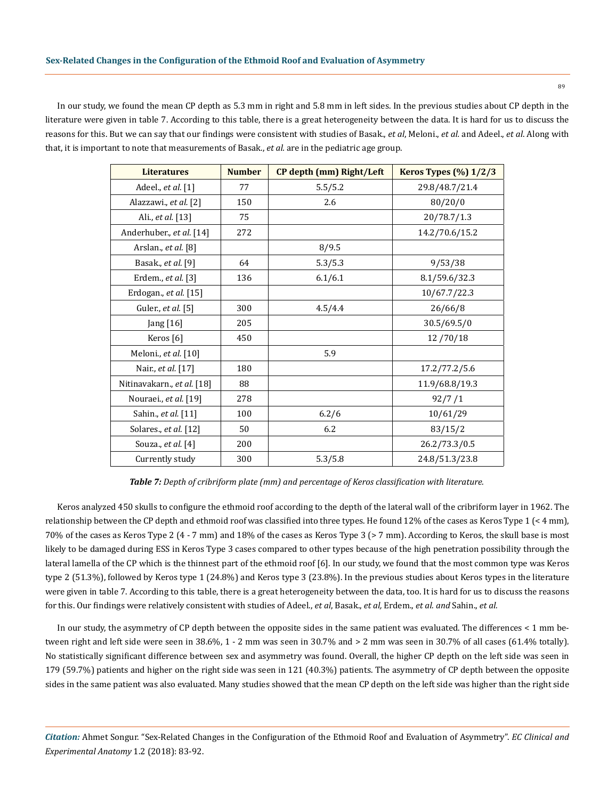In our study, we found the mean CP depth as 5.3 mm in right and 5.8 mm in left sides. In the previous studies about CP depth in the literature were given in table 7. According to this table, there is a great heterogeneity between the data. It is hard for us to discuss the reasons for this. But we can say that our findings were consistent with studies of Basak., *et al*, Meloni., *et al.* and Adeel., *et al*. Along with that, it is important to note that measurements of Basak., *et al.* are in the pediatric age group.

| <b>Literatures</b>         | <b>Number</b> | CP depth (mm) Right/Left | <b>Keros Types (%) 1/2/3</b> |
|----------------------------|---------------|--------------------------|------------------------------|
| Adeel., et al. [1]         | 77            | 5.5/5.2                  | 29.8/48.7/21.4               |
| Alazzawi., et al. [2]      | 150           | 2.6                      | 80/20/0                      |
| Ali., et al. [13]          | 75            |                          | 20/78.7/1.3                  |
| Anderhuber., et al. [14]   | 272           |                          | 14.2/70.6/15.2               |
| Arslan., et al. [8]        |               | 8/9.5                    |                              |
| Basak., et al. [9]         | 64            | 5.3/5.3                  | 9/53/38                      |
| Erdem., et al. [3]         | 136           | 6.1/6.1                  | 8.1/59.6/32.3                |
| Erdogan., et al. [15]      |               |                          | 10/67.7/22.3                 |
| Guler., et al. [5]         | 300           | 4.5/4.4                  | 26/66/8                      |
| Jang [16]                  | 205           |                          | 30.5/69.5/0                  |
| Keros <sup>[6]</sup>       | 450           |                          | 12/70/18                     |
| Meloni., et al. [10]       |               | 5.9                      |                              |
| Nair., et al. [17]         | 180           |                          | 17.2/77.2/5.6                |
| Nitinavakarn., et al. [18] | 88            |                          | 11.9/68.8/19.3               |
| Nouraei., et al. [19]      | 278           |                          | 92/7/1                       |
| Sahin., et al. [11]        | 100           | 6.2/6                    | 10/61/29                     |
| Solares., et al. [12]      | 50            | 6.2                      | 83/15/2                      |
| Souza., et al. [4]         | 200           |                          | 26.2/73.3/0.5                |
| Currently study            | 300           | 5.3/5.8                  | 24.8/51.3/23.8               |

*Table 7: Depth of cribriform plate (mm) and percentage of Keros classification with literature.*

Keros analyzed 450 skulls to configure the ethmoid roof according to the depth of the lateral wall of the cribriform layer in 1962. The relationship between the CP depth and ethmoid roof was classified into three types. He found 12% of the cases as Keros Type 1 (< 4 mm), 70% of the cases as Keros Type 2 (4 - 7 mm) and 18% of the cases as Keros Type 3 (> 7 mm). According to Keros, the skull base is most likely to be damaged during ESS in Keros Type 3 cases compared to other types because of the high penetration possibility through the lateral lamella of the CP which is the thinnest part of the ethmoid roof [6]. In our study, we found that the most common type was Keros type 2 (51.3%), followed by Keros type 1 (24.8%) and Keros type 3 (23.8%). In the previous studies about Keros types in the literature were given in table 7. According to this table, there is a great heterogeneity between the data, too. It is hard for us to discuss the reasons for this. Our findings were relatively consistent with studies of Adeel., *et al*, Basak., *et al,* Erdem., *et al. and* Sahin., *et al.*

In our study, the asymmetry of CP depth between the opposite sides in the same patient was evaluated. The differences < 1 mm between right and left side were seen in 38.6%, 1 - 2 mm was seen in 30.7% and > 2 mm was seen in 30.7% of all cases (61.4% totally). No statistically significant difference between sex and asymmetry was found. Overall, the higher CP depth on the left side was seen in 179 (59.7%) patients and higher on the right side was seen in 121 (40.3%) patients. The asymmetry of CP depth between the opposite sides in the same patient was also evaluated. Many studies showed that the mean CP depth on the left side was higher than the right side

*Citation:* Ahmet Songur. "Sex-Related Changes in the Configuration of the Ethmoid Roof and Evaluation of Asymmetry". *EC Clinical and Experimental Anatomy* 1.2 (2018): 83-92.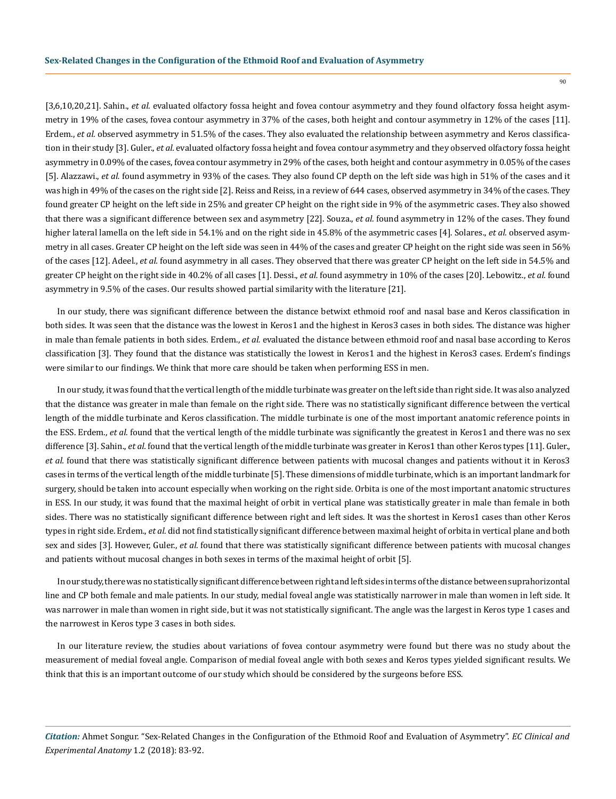[3,6,10,20,21]. Sahin., *et al.* evaluated olfactory fossa height and fovea contour asymmetry and they found olfactory fossa height asymmetry in 19% of the cases, fovea contour asymmetry in 37% of the cases, both height and contour asymmetry in 12% of the cases [11]. Erdem., *et al.* observed asymmetry in 51.5% of the cases. They also evaluated the relationship between asymmetry and Keros classification in their study [3]. Guler., *et al.* evaluated olfactory fossa height and fovea contour asymmetry and they observed olfactory fossa height asymmetry in 0.09% of the cases, fovea contour asymmetry in 29% of the cases, both height and contour asymmetry in 0.05% of the cases [5]. Alazzawi., *et al.* found asymmetry in 93% of the cases. They also found CP depth on the left side was high in 51% of the cases and it was high in 49% of the cases on the right side [2]. Reiss and Reiss, in a review of 644 cases, observed asymmetry in 34% of the cases. They found greater CP height on the left side in 25% and greater CP height on the right side in 9% of the asymmetric cases. They also showed that there was a significant difference between sex and asymmetry [22]. Souza., *et al.* found asymmetry in 12% of the cases. They found higher lateral lamella on the left side in 54.1% and on the right side in 45.8% of the asymmetric cases [4]. Solares., *et al.* observed asymmetry in all cases. Greater CP height on the left side was seen in 44% of the cases and greater CP height on the right side was seen in 56% of the cases [12]. Adeel., *et al.* found asymmetry in all cases. They observed that there was greater CP height on the left side in 54.5% and greater CP height on the right side in 40.2% of all cases [1]. Dessi., *et al.* found asymmetry in 10% of the cases [20]. Lebowitz., *et al.* found asymmetry in 9.5% of the cases. Our results showed partial similarity with the literature [21].

In our study, there was significant difference between the distance betwixt ethmoid roof and nasal base and Keros classification in both sides. It was seen that the distance was the lowest in Keros1 and the highest in Keros3 cases in both sides. The distance was higher in male than female patients in both sides. Erdem., *et al.* evaluated the distance between ethmoid roof and nasal base according to Keros classification [3]. They found that the distance was statistically the lowest in Keros1 and the highest in Keros3 cases. Erdem's findings were similar to our findings. We think that more care should be taken when performing ESS in men.

In our study, it was found that the vertical length of the middle turbinate was greater on the left side than right side. It was also analyzed that the distance was greater in male than female on the right side. There was no statistically significant difference between the vertical length of the middle turbinate and Keros classification. The middle turbinate is one of the most important anatomic reference points in the ESS. Erdem., *et al.* found that the vertical length of the middle turbinate was significantly the greatest in Keros1 and there was no sex difference [3]. Sahin., *et al.* found that the vertical length of the middle turbinate was greater in Keros1 than other Keros types [11]. Guler., *et al.* found that there was statistically significant difference between patients with mucosal changes and patients without it in Keros3 cases in terms of the vertical length of the middle turbinate [5]. These dimensions of middle turbinate, which is an important landmark for surgery, should be taken into account especially when working on the right side. Orbita is one of the most important anatomic structures in ESS. In our study, it was found that the maximal height of orbit in vertical plane was statistically greater in male than female in both sides. There was no statistically significant difference between right and left sides. It was the shortest in Keros1 cases than other Keros types in right side. Erdem., *et al.* did not find statistically significant difference between maximal height of orbita in vertical plane and both sex and sides [3]. However, Guler., *et al.* found that there was statistically significant difference between patients with mucosal changes and patients without mucosal changes in both sexes in terms of the maximal height of orbit [5].

In our study, there was no statistically significant difference between right and left sides in terms of the distance between suprahorizontal line and CP both female and male patients. In our study, medial foveal angle was statistically narrower in male than women in left side. It was narrower in male than women in right side, but it was not statistically significant. The angle was the largest in Keros type 1 cases and the narrowest in Keros type 3 cases in both sides.

In our literature review, the studies about variations of fovea contour asymmetry were found but there was no study about the measurement of medial foveal angle. Comparison of medial foveal angle with both sexes and Keros types yielded significant results. We think that this is an important outcome of our study which should be considered by the surgeons before ESS.

*Citation:* Ahmet Songur. "Sex-Related Changes in the Configuration of the Ethmoid Roof and Evaluation of Asymmetry". *EC Clinical and Experimental Anatomy* 1.2 (2018): 83-92.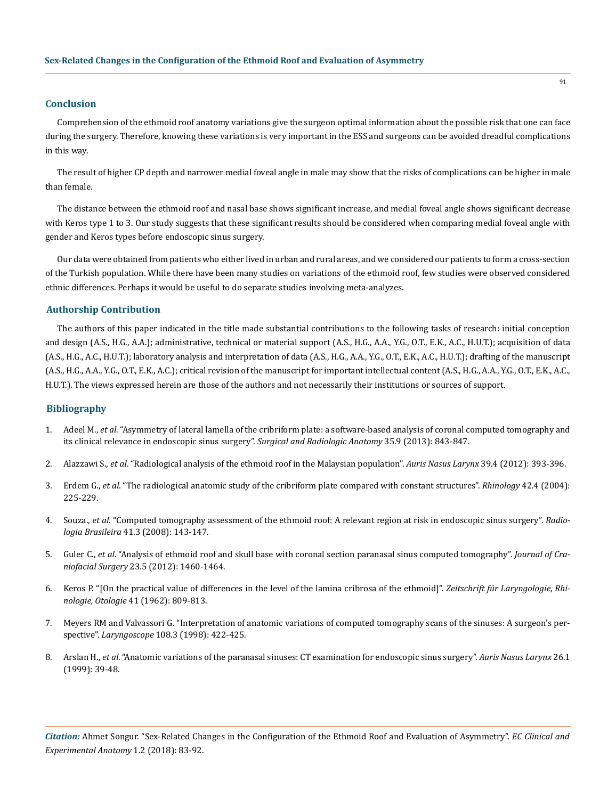#### **Conclusion**

Comprehension of the ethmoid roof anatomy variations give the surgeon optimal information about the possible risk that one can face during the surgery. Therefore, knowing these variations is very important in the ESS and surgeons can be avoided dreadful complications in this way.

The result of higher CP depth and narrower medial foveal angle in male may show that the risks of complications can be higher in male than female.

The distance between the ethmoid roof and nasal base shows significant increase, and medial foveal angle shows significant decrease with Keros type 1 to 3. Our study suggests that these significant results should be considered when comparing medial foveal angle with gender and Keros types before endoscopic sinus surgery.

Our data were obtained from patients who either lived in urban and rural areas, and we considered our patients to form a cross-section of the Turkish population. While there have been many studies on variations of the ethmoid roof, few studies were observed considered ethnic differences. Perhaps it would be useful to do separate studies involving meta-analyzes.

## **Authorship Contribution**

The authors of this paper indicated in the title made substantial contributions to the following tasks of research: initial conception and design (A.S., H.G., A.A.); administrative, technical or material support (A.S., H.G., A.A., Y.G., O.T., E.K., A.C., H.U.T.); acquisition of data (A.S., H.G., A.C., H.U.T.); laboratory analysis and interpretation of data (A.S., H.G., A.A., Y.G., O.T., E.K., A.C., H.U.T.); drafting of the manuscript (A.S., H.G., A.A., Y.G., O.T., E.K., A.C.); critical revision of the manuscript for important intellectual content (A.S., H.G., A.A., Y.G., O.T., E.K., A.C., H.U.T.). The views expressed herein are those of the authors and not necessarily their institutions or sources of support.

## **Bibliography**

- 1. Adeel M., *et al*[. "Asymmetry of lateral lamella of the cribriform plate: a software-based analysis of coronal computed tomography and](https://www.ncbi.nlm.nih.gov/pubmed/23525641)  [its clinical relevance in endoscopic sinus surgery".](https://www.ncbi.nlm.nih.gov/pubmed/23525641) *Surgical and Radiologic Anatomy* 35.9 (2013): 843-847.
- 2. Alazzawi S., *et al*[. "Radiological analysis of the ethmoid roof in the Malaysian population".](https://www.ncbi.nlm.nih.gov/pubmed/22055509) *Auris Nasus Larynx* 39.4 (2012): 393-396.
- 3. Erdem G., *et al*[. "The radiological anatomic study of the cribriform plate compared with constant structures".](https://www.ncbi.nlm.nih.gov/pubmed/15626256) *Rhinology* 42.4 (2004): [225-229.](https://www.ncbi.nlm.nih.gov/pubmed/15626256)
- 4. Souza., *et al*[. "Computed tomography assessment of the ethmoid roof: A relevant region at risk in endoscopic sinus surgery".](http://www.scielo.br/scielo.php?pid=s0100-39842008000300003&script=sci_arttext&tlng=en) *Radiologia Brasileira* [41.3 \(2008\): 143-147.](http://www.scielo.br/scielo.php?pid=s0100-39842008000300003&script=sci_arttext&tlng=en)
- 5. Guler C., *et al*[. "Analysis of ethmoid roof and skull base with coronal section paranasal sinus computed tomography".](https://www.ncbi.nlm.nih.gov/pubmed/22976636) *Journal of Craniofacial Surgery* [23.5 \(2012\): 1460-1464.](https://www.ncbi.nlm.nih.gov/pubmed/22976636)
- 6. [Keros P. "\[On the practical value of differences in the level of the lamina cribrosa of the ethmoid\]".](https://www.ncbi.nlm.nih.gov/pubmed/14032071) *Zeitschrift für Laryngologie, Rhinologie, Otologie* [41 \(1962\): 809-813.](https://www.ncbi.nlm.nih.gov/pubmed/14032071)
- 7. [Meyers RM and Valvassori G. "Interpretation of anatomic variations of computed tomography scans of the sinuses: A surgeon's per](https://www.ncbi.nlm.nih.gov/pubmed/9504618)spective". *Laryngoscope* [108.3 \(1998\): 422-425.](https://www.ncbi.nlm.nih.gov/pubmed/9504618)
- 8. Arslan H., *et al*[. "Anatomic variations of the paranasal sinuses: CT examination for endoscopic sinus surgery".](https://www.ncbi.nlm.nih.gov/pubmed/10077255) *Auris Nasus Larynx* 26.1 [\(1999\): 39-48.](https://www.ncbi.nlm.nih.gov/pubmed/10077255)